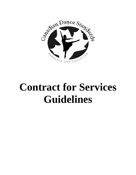

# **Contract for Services Guidelines**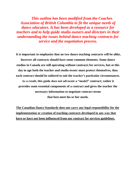*This outline has been modified from the Coaches Association of British Columbia to fit the unique needs of dance educators. It has been developed as a resource for teachers and to help guide studio owners and directors in their understanding the issues behind dance teaching contracts for service and the negotiation process.*

**It is important to emphasize that no two dance teaching contracts will be alike, however all contracts should have some common elements. Some dance studios in Canada are still operating without contracts for services, but at this day in age both the teacher and studio owner must protect themselves, thus each contract should be tailored to suit the teacher's particular circumstances.**

**As a result, this guide does not advocate a "model" contract; rather it provides some essential components of a contract and gives the teacher the necessary information to negotiate contract terms that best meet his or her needs.**

**The Canadian Dance Standards does not carry any legal responsibility for the implementation or creation of teaching contracts developed in any way that have or have not been influenced from our contract for services guidelines.**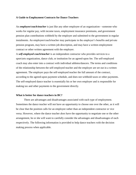#### **A Guide to Employment Contracts for Dance Teachers**

An *employee/coach/teacher* is just like any other employee of an organization—someone who works for regular pay, with income taxes, employment insurance premiums, and government pension plan contributions withheld by the employer and submitted to the government in regular instalments. An employee/coach/teacher may participate in the employer's benefits and private pension program, may have a written job description, and may have a written employment contract or other written agreement with the employer.

A *self-employed coach/teacher* is an independent contractor who provides services to a sport/arts organization, dance club, or institution for an agreed-upon fee. The self-employed coach may also enter into a contract with individual athletes/dancers. The terms and conditions of the relationship between the self-employed teacher and the employer are set out in a written agreement. The employer pays the self-employed teacher the full amount of the contract, according to the agreed-upon payment schedule, and does not withhold taxes or other payments. The self-employed dance teacher is essentially his or her own employer and is responsible for making tax and other payments to the government directly.

#### **What is better for dance teachers in BC?**

There are advantages and disadvantages associated with each type of employment. Sometimes the dance teacher will not have an opportunity to choose one over the other, as it will be clear that the position calls for an employee rather than an independent contractor or vice versa. However, where the dance teacher *does* have the opportunity to negotiate one or the other arrangement, he or she will want to carefully consider the advantages and disadvantages of each respectively. The following information is provided to help dance teachers with the decision making process when applicable.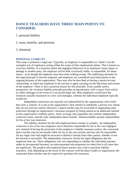# **DANCE TEACHERS HAVE THREE MAIN POINTS TO CONSIDER:**

1. personal liability

2. taxes, benefits, and pensions

#### 3. dismissal

#### **PERSONAL LIABILITY**

This issue is primarily a legal one. Typically, an employer is responsible (or "liable") for the wrongful acts of employees acting within the scope of their employment duties. This is known as *vicarious liability*. In a situation where the negligent behaviour of an employee causes injury or damage to another party, the employer will be held vicariously liable, or responsible, for those losses—even though the employer may have done nothing wrong. The underlying rationale for this legal principle is that the employer and employee are considered associated parties in the ongoing business of the organization. They may also be described as having a *master/servant relationship*, in which the employee is the servant or agent carrying out the directions and actions of the employer. There is also a practical reason for this principle. From a public policy perspective, the vicarious liability principle provides an injured party with a source from which to collect damages in the event of a successful legal suit. Most employers would have the resources (usually insurance) to cover such damages, whereas the individual employee typically would not.

Independent contractors are typically not indemnified by the organizations with which they have a contract. It is not in the organization's best interest to indemnify a person over whom they do not exercise control. However, a dance teacher may be successful in negotiating some protection through an organization's insurance program by being named as an additional insured on the organization's liability policy. Such coverage may jeopardize the teachers independentcontractor status, and the truly independent dance teacher should probably assume responsibility for his or her own insurance.

The liability situation for the self-employed dance teacher is complex. An independent contractor is his or her own employer and is therefore responsible for his or her own negligent acts. Instead of having the protection of the employer's liability insurance policy, the contracted dance teacher may be *personally liable* for his or her own actions and may also be responsible for any legal costs that might be incurred to defend a lawsuit from other parties, whether or not the lawsuit is successful. The independent contractor clearly has legal obligations that the employee does not. These obligations will vary depending on whether the individual operates under an incorporated business, an unincorporated sole proprietor (or other) but in all cases they are significant. The prudent self-employed dance teacher may wish to purchase liability insurance. And, depending on the terms of the contract with the dance studio or organization, the contracted dance teacher may be *required* to purchase this insurance.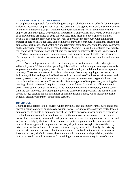#### **TAXES, BENEFITS, AND PENSIONS**

An employer is responsible for withholding certain payroll deductions on behalf of an employee, including income tax, employment insurance premiums, old age pension, and, in some provinces, health care. Employers also pay Workers' Compensation Board (WCB) premiums for their employees and are required by provincial and territorial employment laws to pay overtime wages or to provide time off in lieu of extra time worked. They must also pay wages on statutory holidays on which the employee does not work and provide the employee with a minimum number of paid holidays per year. Some employers may also contribute to additional benefits for employees, such as extended health care and retirement savings plans. An independent contractor, on the other hand, receives none of these benefits or "perks." Unless it is negotiated specifically, the independent contractor does not get paid for overtime or holidays. He or she is not covered by Workers' compensation and, in many cases, must purchase personal health care insurance. The independent contractor is also responsible for setting up his or her own benefits and pension programs.

Tax advantages alone are often the deciding factor for the dance teacher who opts for self-employment. With careful tax planning, it is possible to achieve higher earnings when selfemployed than when employed, particularly if the self-employed individual has an incorporated company. There are two reasons for this tax advantage: first, many ongoing expenses can be legitimately linked to the pursuit of business and can be used to offset income before taxes, and second, except at very low income levels, the corporate income tax rate is typically lower than the individual income tax rate. There are also disadvantages to self-employment, including the ongoing administrative work required to keep accurate financial records, to collect and remit taxes, and to submit annual tax returns. If the individual chooses to incorporate, there is some time and cost involved. In evaluating the pros and cons of self-employment, the dance teacher should always balance the tax advantages against the financial risks, which include the lack of benefits, disability insurance, and income security.

#### **DISMISSAL**

This third issue relates to job security. Under provincial law, an employer must have sound and provable cause to dismiss an employee without notice. Lacking cause, as defined by the law, an employer can terminate an employee only if the employer provides proper notice of termination as set out in employment law or, alternatively, if the employer pays severance pay in lieu of notice. The relationship between the independent contractor and the employer, on the other hand, is governed solely by the terms of the contract the parties negotiate, and becomes a matter of contract law as opposed to employment law. Any dispute about wrongful dismissal that may arise is dealt with as a breach of contract, not as an employment matter. Ideally, the existing contract will contain clear terms about termination and dismissal. In the worst case scenario, involving a poorly drafted contract, the contract would contain no such provisions, and the contractor would have little recourse for obtaining notice or severance pay in lieu of notice.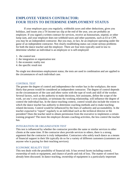# **EMPLOYEE VERSUS CONTRACTOR: FOUR TESTS TO DETERMINE EMPLOYMENT STATUS**

If your employer pays you regularly, withholds taxes and other deductions, gives you holidays, and issues you a T4 income tax slip at the end of the year, you are probably an employee. If you signed a written contract for services, receive an honorarium, stipend, or other lump sum, and your employer does not withhold taxes and other payments, such as EI or CPP, you *may* be an independent contractor. But you may, in fact, be an employee operating under the guise of an independent contractor. Not clearly establishing status can create serious problems for both the dance teacher and the employer. There are four tests typically used in law to determine whether an individual is an employee or is self-employed:

- 1. the control test
- 2. the integration or organization test
- 3. the economic reality test
- 4. the specific result test

No single test determines employment status; the tests are used in combination and are applied to the circumstances of each individual case.

#### CONTROL TEST

The greater the degree of control and independence the worker has in the workplace, the more likely that person would be considered an independent contractor. The degree of control depends on the circumstances of the case and often varies with the type of work and skill of the worker. Several factors, such as the authority to make decisions, hire assistants, define the scope of the work, set one's own schedule, or terminate the working relationship, will influence the degree of control the individual has. In the dance teaching context, control would also include the extent to which the dance teacher has authority to determine coaching methods and to make teachingrelated decisions. Control would be influenced by the lines of authority and accountability. Is the teacher expected to "report" regularly to an individual such as the technical director or the president? Does the teacher need to obtain permission from the executive to implement a certain training program? The more the employer dictates coaching activities, the less control the teacher has.

#### INTEGRATION OR ORGANIZATION TEST

This test is influenced by whether the contractor provides the same or similar services to other clients at the same time. If the contractor *does* provide services to others, there is a strong argument that the contractor is truly independent. Contractors who solely teach dance as a means of financial support in their life typically do so for a variety of different customers (customers are anyone who is paying for their teaching services).

#### ECONOMIC REALITY TEST

This test deals with the possibility of financial risk. It has several facets including control, ownership of tools or equipment, and chance of profit and risk of loss. The matter of control has already been discussed. In dance teaching, ownership of equipment is a particularly important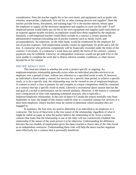consideration. Does the teacher supply his or her own music and equipment such as ipods/ cds, whistles, stopwatches, clipboards, first-aid kit, or other training devices and supplies? Does the teacher provide forms, documents, and training logs? Or is the teacher entirely reliant upon the employer to supply all the necessary equipment and supplies to carry out the task? A selfemployed person would likely pay for his or her own equipment and supplies (and claim them as an expense against taxable income); an employee would have these supplied by the employer. Similarly, a self-employed teacher would likely include in a contract a certain amount for administrative expenses (including out-of-pocket expenses such as meals, travel, and accommodation). An employee, on the other hand, would be reimbursed by the employer for out-of-pocket expenses. Self-employment usually creates an opportunity for profit and a risk for loss. A contractor who performs competently will be financially rewarded under the terms of the contract. Conversely, if a contractor's work does not satisfy the terms of the contract, contract payments may be withheld. Likewise, an independent contractor would not get paid if he or she were unable to complete the work due to illness, adverse weather conditions, or other factors beyond his or her control.

#### SPECIFIC RESULT TEST

This final test relates to whether the work is project specific or ongoing. An employee/employer relationship generally exists when an individual provides services to an employer over a period of time, without any reference to a specified result or task. If, however, an individual is hired under a contract for services for a specific time period, to achieve a specific result, or to do a specific task, the relationship may not be viewed as one of employee/employer. A contract to teach a class to prepare for and compete at a major competition could be construed as a contract that has a specific result in mind. Likewise a recreational dance season that has the end goal of a recital or performance can be viewed similarly. However, if the season is continued over a long period of time with repeating scheduled structure, this is typically a employer/employee relationship. In the case of dance in Canada the season normally runs from September to June, the length of this season could be seen as a seasonal contract for services or a short term employee. Dance teachers must be careful to determine which situation they are engaged in.

In summary, the four tests are used to determine if an individual is an employee or a contractor. The focus of these tests is the true nature of the relationship, regardless of what it might be called on paper or what the parties believe the relationship to be. Even a written contract that states that the relationship is one or the other will not conclusively establish that relationship if the nature of the work proves it to be otherwise. Understanding the difference between the two models of employment gives the dance teacher a clearer idea of the risks faced as an independent contractor. Understanding these risks will help the dance teacher negotiate more effectively for a contract that is personally beneficial.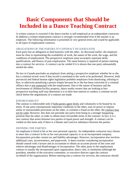# **Basic Components that Should be Included in a Dance Teaching Contract**

A written contract is *essential* if the dance teacher is self-employed as an independent contractor. In addition a written employment contract is *strongly recommended* even if the teacher is an employee. The following information is presented in very general terms and would be applicable to all types of employment contracts.

# OBLIGATIONS OF THE PARTIES TO CONTRACT IN GOOD FAITH

Each party has an obligation to deal honestly with the other. As discussed earlier, the employer must be clear in representing the availability of work, the nature of the work, the wage, and the conditions of employment. The prospective employee must accurately represent skills, qualifications, and history of past employment. The same honesty is required of parties entering into a contract for services. A contract can be voided if it is shown that one party substantially misled the other.

No law in Canada precludes an employer from asking a prospective employee whether he or she has a criminal record–even if that record is unrelated to the work to be performed. However, both provincial and federal human rights legislation prohibits employers from dismissing, refusing to hire, or otherwise penalizing a person simply because he or she has been convicted of a criminal offence that is not connected with the employment. Due to the nature of business and the involvement of children/facility property, dance studio owners that are looking to hire prospective teaching staff may determine it is in their best interest to conduct a criminal record check before the negotiations of a contract are made.

# ENFORCEABILITY

The contract is enforceable only if both parties agree freely and voluntarily to be bound by its terms. If one party misrepresents important conditions to the other, uses its power to impose unfair or unreasonable provisions on the other, or commits a fraud on the other, the contract may not be valid. However, this does not preclude one party from being in a stronger bargaining position than the other, in order to obtain more favourable terms in the contract. In fact, it is a rare contract that arises between two parties of equal power and strength. A contract can be voided on this basis only if there is a blatant and coercive imbalance between the parties.

# DEFINING THE PARTIES

An employee is hired in his or her own personal capacity. An independent contractor may choose to enter into a contract in his or her own personal capacity or as an incorporated company. Incorporation provides certain tax and liability advantages. However, incorporation also involves additional costs, inconvenience, and paperwork. A dance teacher considering incorporation should consult with a lawyer and an accountant to obtain an accurate picture of the costs and relative advantages and disadvantages of incorporation. The other party to the employment contract is usually the incorporated sport organization, dance club, or institution (although the president, member of the executive committee, or executive director signs the contract on behalf of the organization). Before entering into a contract for services, the contractor should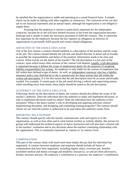be satisfied that the organization is stable and operating on a sound financial basis. A simple check can be made by talking with other suppliers or contractors. The contractor-to-be can also ask to see financial statements and an annual report, although the organization is not obliged to supply them.

Ensuring that the employer is solvent is particularly important for the independent contractor, because he or she will have limited recourse in the event the organization becomes bankrupt and is unable to make the necessary payments to fulfil the contract. This is somewhat less important for the employee, because the law imposes an obligation on directors of organizations to *personally* fulfil payroll and certain related obligations.

# JOB DUTIES OF THE DANCE EDUCATOR

One of the first clauses a contract should establish is a description of the position and the scope of the job. The contract should identify the job title and should describe *in detail* and as broadly as possible the responsibilities and duties of the position. Information needs to be clear and concise. What exactly are the duties of the teacher? The job description is a key part of the contract, upon which many other sections of the contract will depend. Legally, a job description is important because it defines the scope of employment duties for the purposes of assigning liability (responsibility) for actions. An employer is only liable for the actions of employees that fall within their defined scope of duties. As well, an independent contractor who has a liability insurance policy may find that he or she is insured only for those actions that fall within the written job description. It is for this reason that the job description must be accurate and broadly worded. For example, if certain parts of the job entail driving a vehicle and supervising minors while travelling away from home, these duties should be stated in the job description.

# AUTHORITY OF THE DANCE EDUCATOR

Following closely on the description of duties, the contract should also define the scope of the teacher's authority. Does the individual have the authority to make and implement decisions, or only to implement decisions made by others? Does the individual have the authority to hire assistants? What is the dance teacher's role in developing and applying selection criteria? Implementing discipline, and designing and scheduling training programs? The contract should clearly set out what the teacher is authorized to do and where this authority comes from.

# REPORTING RELATIONSHIP

The contract should specify who the teacher communicates with and reports to in the organization, as well as how often and in what format (written or verbal). Ideally, this person (or group) will understand the technical aspects of dance instruction and will also have a formal role in the teachers' evaluation and in any decisions about the teachers continuing relationship with the organization. This is commonly expressed as 'reports to' in contract form.

# **COMPENSATION**

This part of the contract deals with much more than simply the pay that the individual has negotiated. A contract between employee and employer should include all forms of compensation that have been negotiated, including regular salary, overtime pay, benefits (extended medical and dental coverage and disability insurance), car and per diem allowances, holiday structure and pay, the employer's contribution to a pension, the employer's contribution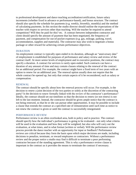to professional development and dance teaching accreditation/certification, future salary increments (whether fixed in advance or performance-based), and bonus structure. The contract should also specify the schedule for payments (e.g. weekly, biweekly, monthly) and the method of calculating payments. In this section the studio director should outline the expectations of the teacher with respect to services other than teaching. Will the teacher be required to attend competition? Will they be paid for this? etc. A contract between independent contractor and client should specify the amount of payment that has been negotiated, the frequency of payment, and compensation for out-of-pocket expenses (e.g. gas, mileage, parking, travel, accommodation, supplies and materials). The contractor may also wish to negotiate a bonus package or other reward for achieving certain performance objectives.

# DURATION

An employment contract is typically open ended in its duration, although an "anniversary date" of employment is established for purposes of performance and salary review and review of the contract itself. At more senior levels of employment and in executive positions, the contract may specify a duration. A contract for services is rarely open ended. Such contracts can have a duration of any amount of time and may contain clauses relating to the renewal of the contract for an additional period. For example, the contract might have a fixed term of two years with an option to renew for an additional year. The renewal option usually does not require that the whole contract be opened up, but only that certain aspects of it be reconsidered, such as salary or compensation.

# RENEWAL

The contract should be specific about how the renewal process will occur. For example, is the decision to renew a joint decision of the two parties or solely at the discretion of the contracting party? Is the decision to renew formally linked with the review of the contractor's performance? Ideally, the contract should set out timelines so that the decision to renew (or not renew) is not left to the last moment. Instead, the contractor should be given ample notice that the contract is not being renewed, so that he or she can pursue other opportunities. It may be possible to include a clause that extends the contract at a specified rate of remuneration until such time as notice to not renew the contract is given or until the contract is successfully renegotiated.

# PERFORMANCE REVIEW

Performance review is an often overlooked area, both in policy and in practice. The contract should specify how the individual's performance is going to be evaluated—not only what criteria will be used in the evaluation and how they will be weighted, but also who will carry out the evaluation, at what times, and in what format (written or verbal). Will the performance review process provide the dance teacher with an opportunity for input or feedback? Performance reviews are critical because they form the basis upon which major decisions are made, including decisions to penalize, terminate, or reward employees or contractors. Without a performance review and the proper notice a studio may find it difficult to terminate a poor performing contractor because of the standing agreement. This is why a performance review clause is important in the contract as it provides the means to terminate the contract if necessary.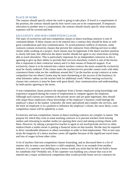#### PLACE OF WORK

The contract should specify where the work is going to take place. If travel is a requirement of the position, the contract should specify how travel costs are to be compensated. If temporary relocation to another area is a requirement, the contract should clearly specify what relocation expenses will be covered and how.

# EXCLUSIVITY AND NON-COMPETITION CLAUSE

The topic of exclusivity and non-competition clauses in dance teaching contracts is one of continued debate. If these clauses are to be entered into a contract they should be done so with great consideration and clear communication. To avoid potential conflicts of interests, some contracts contain exclusivity clauses that prevent the contractor from offering services to other clients while working on a project. Such clauses may be legitimate if the dance teachers position is clearly full time, but otherwise the dance teacher should not agree to any restrictions on being able to teach elsewhere. This is particularly important for an independent contractor as this is agreeing to give up their ability to provide their services elsewhere, (which is one of the factors that is important to their contractor status) and it is their means of financial support. If an exclusivity clause is to be entered into a dance teachers contract the terms around the exclusivity must be clearly outlined. If the clause states the teacher/service provider cannot work with other customers/clients what are the conditions around this? Can the teacher accept contracts at some competitors but not others? (some may be more threatening to the success of the business). In what kilometre radius can the teacher look for additional work? When entering exclusivity clauses into contracts it must be done with great detail, clear communication and understanding by both parties agreeing to the terms.

A non-competition clause protects the employer from a former employee using knowledge and experience acquired during the course of employment to compete against the employer. Although such clauses are common in the private sector and are quite legitimate, they should only target those employees whose knowledge of the employer's business could damage the employer's place in the market. Generally, the more specialized and complex the services, and the more an employee is in a position to influence the employer's clients, the more likely a noncompetition clause will be upheld by a court.

Exclusivity and non-competition clauses in dance teaching contracts are complex in nature. The purpose for which they exist in some teaching contracts is to prevent teachers from leaving studios and relocating to another studio (or opening their own) and taking existing clients with them. However, by asking a prospective teacher to agree to not teach/provide services to other studios/clients a studio owner is putting a financial strain on that teacher. He/she may be required to drive considerable distances to others townships in order to find employment. This in turn may strain the longevity of a dance teachers career all together because of the significant travel times and loss of wages to/from other cities.

A lot of teachers find non-competition clauses frustrating, and as discussed there is a lot of reasons why in many cases they have a valid complaint. Here is an example from another industry; if a carpenter was building you a house would you insist that he did not build a house for somebody else? Probably not. If the carpenter was building you a house that was to be entered into a major architectural competition (that would provide future service contracts for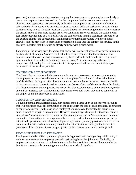your firm) and you were against another company for these contracts, you may be more likely to restrict the carpenter from also working for the competitor. In this case the non-competition clause is more appropriate. As previously outlined in the employee vs. contractor definition; A sub-contractor is someone who provides services to several different customers, be restricting a teachers ability to teach in other locations a studio director is also causing conflict with respect to the classification of a teachers service provision conditions. However, should the studio owner feel that the teacher may be a risk of leaving the company and taking a significant proportion of the existing clients (and subsequently the momentary payment associated with those clients) elsewhere he/she may wish to enter a non-competition clause into the contract for service. In this case it is important that the clause be clearly outlined with precise detail.

For example; the service provider agrees that he/she will not accept payment for services from an existing client of *example business* for the duration of one year after the termination of this contract unless the contract has been renewed by both parties. In addition the service provider agrees to refrain from soliciting existing clients of *example business* during and after the completion of the obligations of this contract. This agreement will survive indefinitely upon termination of the services provided.

# CONFIDENTIALITY PROVISIONS

Confidentiality provisions, which are common in contracts, serve two purposes: to ensure that the employee or contractor who has access to the employer's confidential information keeps it confidential both during and after the contract and to prevent the parties from discussing details of the contract once it is terminated. A contract can also stipulate confidentiality about the details of a dispute between the two parties, the reasons for dismissal, the terms of any settlement, or the amount of severance pay. Confidentiality provisions work both ways; they can be beneficial to the employer and the employee or contractor.

# TERMINATION AND SEVERANCE

To avoid potential misunderstandings, both parties should agree upon and identify the grounds that will constitute cause for termination of the contract (in the case of an independent contractor) or cause for dismissal (in the case of an employee). An employee terminated for cause is not entitled to notice or pay in lieu of notice. However, an employee dismissed without just cause is entitled to a "reasonable period of notice" of the pending dismissal or "severance pay" in lieu of such notice. Unless there is prior agreement between the parties, the minimum notice period is set out in the provincial or territorial employment legislation. (In many provinces, two weeks for each year of service is the minimum.) If contractor is terminated according to the termination provisions of the contract, it may be appropriate for the contract to include a notice period.

# INDEMNIFICATION AND INSURANCE

Employees are indemnified by their employers for legal costs and damages they might incur, if such losses arise from the employee properly performing his or her job duties. Typically, an employment contract does not make reference to this because it is a clear entitlement under the law. In the case of a subcontracting contract these terms should be clear.